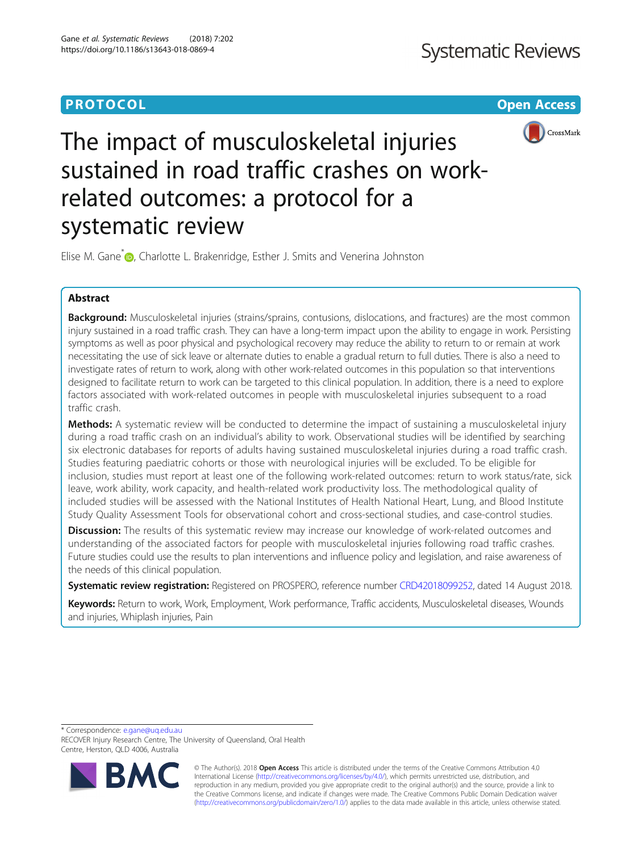# **PROTOCOL CONSUMING THE OPEN ACCESS**



# The impact of musculoskeletal injuries sustained in road traffic crashes on workrelated outcomes: a protocol for a systematic review

Elise M. Gane<sup>[\\*](http://orcid.org/0000-0002-5901-3899)</sup> **D**, Charlotte L. Brakenridge, Esther J. Smits and Venerina Johnston

# Abstract

Background: Musculoskeletal injuries (strains/sprains, contusions, dislocations, and fractures) are the most common injury sustained in a road traffic crash. They can have a long-term impact upon the ability to engage in work. Persisting symptoms as well as poor physical and psychological recovery may reduce the ability to return to or remain at work necessitating the use of sick leave or alternate duties to enable a gradual return to full duties. There is also a need to investigate rates of return to work, along with other work-related outcomes in this population so that interventions designed to facilitate return to work can be targeted to this clinical population. In addition, there is a need to explore factors associated with work-related outcomes in people with musculoskeletal injuries subsequent to a road traffic crash.

**Methods:** A systematic review will be conducted to determine the impact of sustaining a musculoskeletal injury during a road traffic crash on an individual's ability to work. Observational studies will be identified by searching six electronic databases for reports of adults having sustained musculoskeletal injuries during a road traffic crash. Studies featuring paediatric cohorts or those with neurological injuries will be excluded. To be eligible for inclusion, studies must report at least one of the following work-related outcomes: return to work status/rate, sick leave, work ability, work capacity, and health-related work productivity loss. The methodological quality of included studies will be assessed with the National Institutes of Health National Heart, Lung, and Blood Institute Study Quality Assessment Tools for observational cohort and cross-sectional studies, and case-control studies.

**Discussion:** The results of this systematic review may increase our knowledge of work-related outcomes and understanding of the associated factors for people with musculoskeletal injuries following road traffic crashes. Future studies could use the results to plan interventions and influence policy and legislation, and raise awareness of the needs of this clinical population.

Systematic review registration: Registered on PROSPERO, reference number [CRD42018099252,](http://www.crd.york.ac.uk/PROSPERO/display_record.php?ID=CRD42018099252) dated 14 August 2018.

Keywords: Return to work, Work, Employment, Work performance, Traffic accidents, Musculoskeletal diseases, Wounds and injuries, Whiplash injuries, Pain

\* Correspondence: [e.gane@uq.edu.au](mailto:e.gane@uq.edu.au)

RECOVER Injury Research Centre, The University of Queensland, Oral Health Centre, Herston, QLD 4006, Australia



© The Author(s). 2018 Open Access This article is distributed under the terms of the Creative Commons Attribution 4.0 International License [\(http://creativecommons.org/licenses/by/4.0/](http://creativecommons.org/licenses/by/4.0/)), which permits unrestricted use, distribution, and reproduction in any medium, provided you give appropriate credit to the original author(s) and the source, provide a link to the Creative Commons license, and indicate if changes were made. The Creative Commons Public Domain Dedication waiver [\(http://creativecommons.org/publicdomain/zero/1.0/](http://creativecommons.org/publicdomain/zero/1.0/)) applies to the data made available in this article, unless otherwise stated.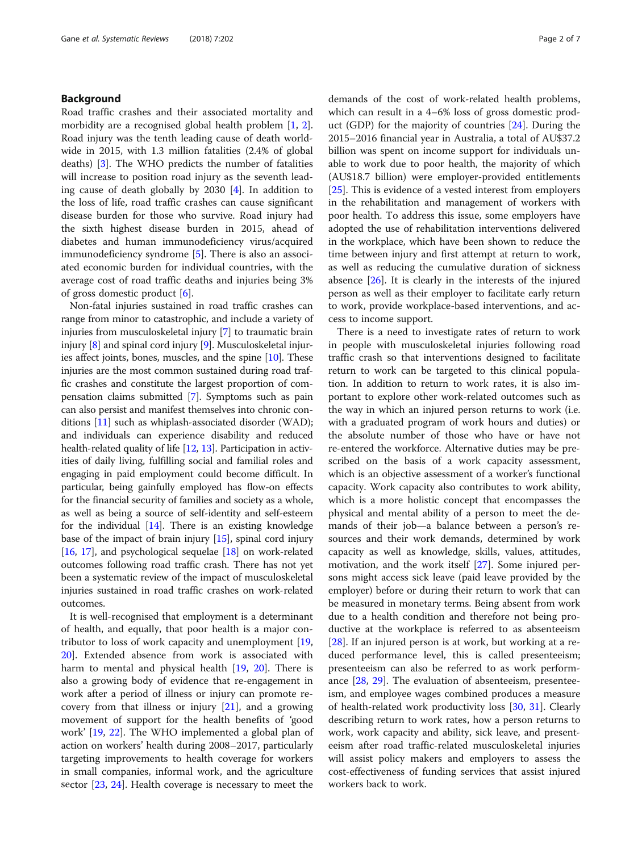# Background

Road traffic crashes and their associated mortality and morbidity are a recognised global health problem [[1,](#page-5-0) [2](#page-5-0)]. Road injury was the tenth leading cause of death worldwide in 2015, with 1.3 million fatalities (2.4% of global deaths) [\[3](#page-5-0)]. The WHO predicts the number of fatalities will increase to position road injury as the seventh leading cause of death globally by 2030 [[4](#page-6-0)]. In addition to the loss of life, road traffic crashes can cause significant disease burden for those who survive. Road injury had the sixth highest disease burden in 2015, ahead of diabetes and human immunodeficiency virus/acquired immunodeficiency syndrome [\[5](#page-6-0)]. There is also an associated economic burden for individual countries, with the average cost of road traffic deaths and injuries being 3% of gross domestic product [[6\]](#page-6-0).

Non-fatal injuries sustained in road traffic crashes can range from minor to catastrophic, and include a variety of injuries from musculoskeletal injury [[7\]](#page-6-0) to traumatic brain injury [[8](#page-6-0)] and spinal cord injury [[9\]](#page-6-0). Musculoskeletal injuries affect joints, bones, muscles, and the spine [[10](#page-6-0)]. These injuries are the most common sustained during road traffic crashes and constitute the largest proportion of compensation claims submitted [\[7\]](#page-6-0). Symptoms such as pain can also persist and manifest themselves into chronic conditions [\[11\]](#page-6-0) such as whiplash-associated disorder (WAD); and individuals can experience disability and reduced health-related quality of life [[12](#page-6-0), [13](#page-6-0)]. Participation in activities of daily living, fulfilling social and familial roles and engaging in paid employment could become difficult. In particular, being gainfully employed has flow-on effects for the financial security of families and society as a whole, as well as being a source of self-identity and self-esteem for the individual  $[14]$ . There is an existing knowledge base of the impact of brain injury [[15](#page-6-0)], spinal cord injury [[16](#page-6-0), [17\]](#page-6-0), and psychological sequelae [\[18](#page-6-0)] on work-related outcomes following road traffic crash. There has not yet been a systematic review of the impact of musculoskeletal injuries sustained in road traffic crashes on work-related outcomes.

It is well-recognised that employment is a determinant of health, and equally, that poor health is a major contributor to loss of work capacity and unemployment [[19](#page-6-0), [20\]](#page-6-0). Extended absence from work is associated with harm to mental and physical health [[19,](#page-6-0) [20](#page-6-0)]. There is also a growing body of evidence that re-engagement in work after a period of illness or injury can promote recovery from that illness or injury [[21](#page-6-0)], and a growing movement of support for the health benefits of 'good work' [[19,](#page-6-0) [22](#page-6-0)]. The WHO implemented a global plan of action on workers' health during 2008–2017, particularly targeting improvements to health coverage for workers in small companies, informal work, and the agriculture sector [[23,](#page-6-0) [24\]](#page-6-0). Health coverage is necessary to meet the demands of the cost of work-related health problems, which can result in a 4–6% loss of gross domestic product (GDP) for the majority of countries [[24\]](#page-6-0). During the 2015–2016 financial year in Australia, a total of AU\$37.2 billion was spent on income support for individuals unable to work due to poor health, the majority of which (AU\$18.7 billion) were employer-provided entitlements [[25\]](#page-6-0). This is evidence of a vested interest from employers in the rehabilitation and management of workers with poor health. To address this issue, some employers have adopted the use of rehabilitation interventions delivered in the workplace, which have been shown to reduce the time between injury and first attempt at return to work, as well as reducing the cumulative duration of sickness absence  $[26]$  $[26]$ . It is clearly in the interests of the injured person as well as their employer to facilitate early return to work, provide workplace-based interventions, and access to income support.

There is a need to investigate rates of return to work in people with musculoskeletal injuries following road traffic crash so that interventions designed to facilitate return to work can be targeted to this clinical population. In addition to return to work rates, it is also important to explore other work-related outcomes such as the way in which an injured person returns to work (i.e. with a graduated program of work hours and duties) or the absolute number of those who have or have not re-entered the workforce. Alternative duties may be prescribed on the basis of a work capacity assessment, which is an objective assessment of a worker's functional capacity. Work capacity also contributes to work ability, which is a more holistic concept that encompasses the physical and mental ability of a person to meet the demands of their job—a balance between a person's resources and their work demands, determined by work capacity as well as knowledge, skills, values, attitudes, motivation, and the work itself [[27\]](#page-6-0). Some injured persons might access sick leave (paid leave provided by the employer) before or during their return to work that can be measured in monetary terms. Being absent from work due to a health condition and therefore not being productive at the workplace is referred to as absenteeism [[28\]](#page-6-0). If an injured person is at work, but working at a reduced performance level, this is called presenteeism; presenteeism can also be referred to as work perform-ance [\[28,](#page-6-0) [29](#page-6-0)]. The evaluation of absenteeism, presenteeism, and employee wages combined produces a measure of health-related work productivity loss [[30](#page-6-0), [31](#page-6-0)]. Clearly describing return to work rates, how a person returns to work, work capacity and ability, sick leave, and presenteeism after road traffic-related musculoskeletal injuries will assist policy makers and employers to assess the cost-effectiveness of funding services that assist injured workers back to work.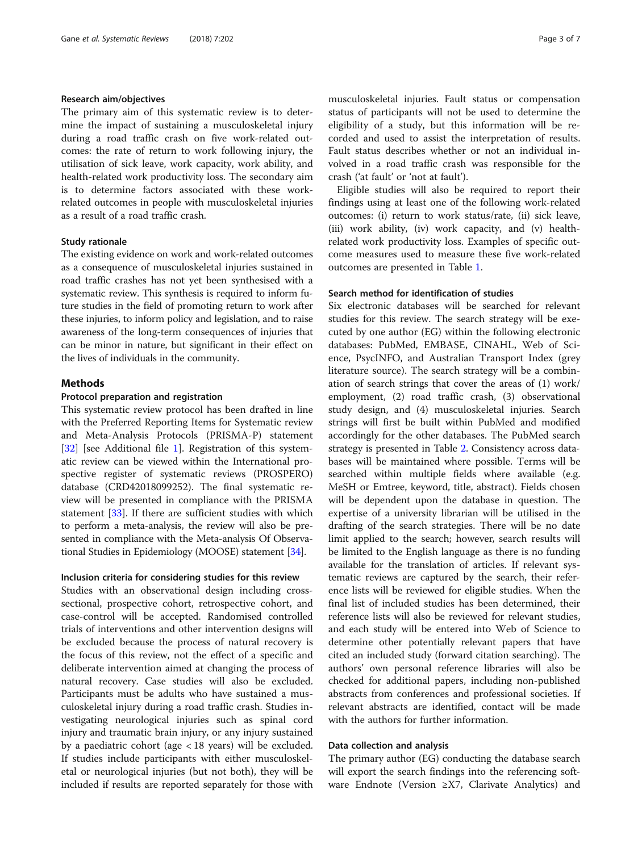# Research aim/objectives

The primary aim of this systematic review is to determine the impact of sustaining a musculoskeletal injury during a road traffic crash on five work-related outcomes: the rate of return to work following injury, the utilisation of sick leave, work capacity, work ability, and health-related work productivity loss. The secondary aim is to determine factors associated with these workrelated outcomes in people with musculoskeletal injuries as a result of a road traffic crash.

# Study rationale

The existing evidence on work and work-related outcomes as a consequence of musculoskeletal injuries sustained in road traffic crashes has not yet been synthesised with a systematic review. This synthesis is required to inform future studies in the field of promoting return to work after these injuries, to inform policy and legislation, and to raise awareness of the long-term consequences of injuries that can be minor in nature, but significant in their effect on the lives of individuals in the community.

# Methods

# Protocol preparation and registration

This systematic review protocol has been drafted in line with the Preferred Reporting Items for Systematic review and Meta-Analysis Protocols (PRISMA-P) statement [[32\]](#page-6-0) [see Additional file [1\]](#page-5-0). Registration of this systematic review can be viewed within the International prospective register of systematic reviews (PROSPERO) database (CRD42018099252). The final systematic review will be presented in compliance with the PRISMA statement [\[33](#page-6-0)]. If there are sufficient studies with which to perform a meta-analysis, the review will also be presented in compliance with the Meta-analysis Of Observational Studies in Epidemiology (MOOSE) statement [\[34\]](#page-6-0).

# Inclusion criteria for considering studies for this review

Studies with an observational design including crosssectional, prospective cohort, retrospective cohort, and case-control will be accepted. Randomised controlled trials of interventions and other intervention designs will be excluded because the process of natural recovery is the focus of this review, not the effect of a specific and deliberate intervention aimed at changing the process of natural recovery. Case studies will also be excluded. Participants must be adults who have sustained a musculoskeletal injury during a road traffic crash. Studies investigating neurological injuries such as spinal cord injury and traumatic brain injury, or any injury sustained by a paediatric cohort (age < 18 years) will be excluded. If studies include participants with either musculoskeletal or neurological injuries (but not both), they will be included if results are reported separately for those with musculoskeletal injuries. Fault status or compensation status of participants will not be used to determine the eligibility of a study, but this information will be recorded and used to assist the interpretation of results. Fault status describes whether or not an individual involved in a road traffic crash was responsible for the crash ('at fault' or 'not at fault').

Eligible studies will also be required to report their findings using at least one of the following work-related outcomes: (i) return to work status/rate, (ii) sick leave, (iii) work ability, (iv) work capacity, and (v) healthrelated work productivity loss. Examples of specific outcome measures used to measure these five work-related outcomes are presented in Table [1](#page-3-0).

# Search method for identification of studies

Six electronic databases will be searched for relevant studies for this review. The search strategy will be executed by one author (EG) within the following electronic databases: PubMed, EMBASE, CINAHL, Web of Science, PsycINFO, and Australian Transport Index (grey literature source). The search strategy will be a combination of search strings that cover the areas of (1) work/ employment, (2) road traffic crash, (3) observational study design, and (4) musculoskeletal injuries. Search strings will first be built within PubMed and modified accordingly for the other databases. The PubMed search strategy is presented in Table [2](#page-4-0). Consistency across databases will be maintained where possible. Terms will be searched within multiple fields where available (e.g. MeSH or Emtree, keyword, title, abstract). Fields chosen will be dependent upon the database in question. The expertise of a university librarian will be utilised in the drafting of the search strategies. There will be no date limit applied to the search; however, search results will be limited to the English language as there is no funding available for the translation of articles. If relevant systematic reviews are captured by the search, their reference lists will be reviewed for eligible studies. When the final list of included studies has been determined, their reference lists will also be reviewed for relevant studies, and each study will be entered into Web of Science to determine other potentially relevant papers that have cited an included study (forward citation searching). The authors' own personal reference libraries will also be checked for additional papers, including non-published abstracts from conferences and professional societies. If relevant abstracts are identified, contact will be made with the authors for further information.

# Data collection and analysis

The primary author (EG) conducting the database search will export the search findings into the referencing software Endnote (Version ≥X7, Clarivate Analytics) and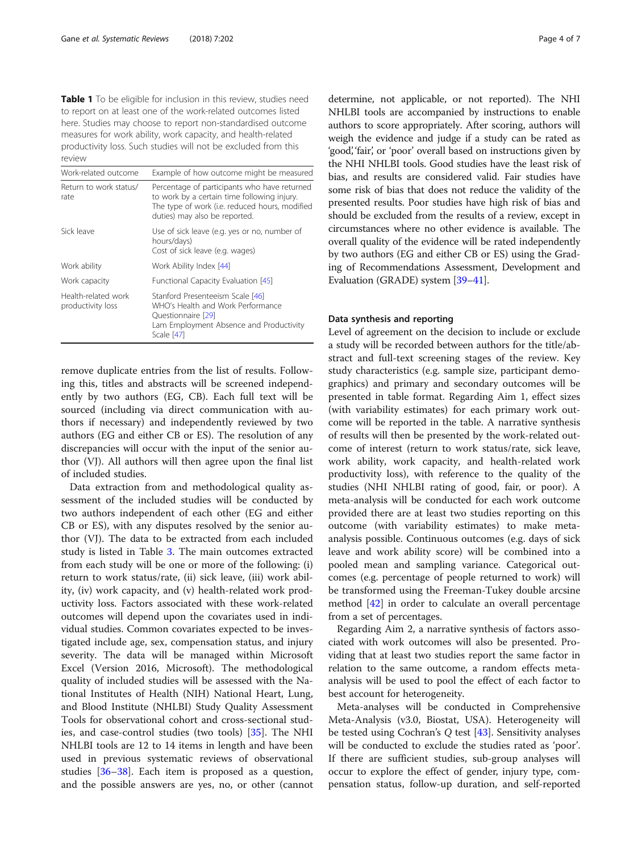<span id="page-3-0"></span>Table 1 To be eligible for inclusion in this review, studies need to report on at least one of the work-related outcomes listed here. Studies may choose to report non-standardised outcome measures for work ability, work capacity, and health-related productivity loss. Such studies will not be excluded from this review

| Work-related outcome                     | Example of how outcome might be measured                                                                                                                                       |
|------------------------------------------|--------------------------------------------------------------------------------------------------------------------------------------------------------------------------------|
| Return to work status/<br>rate           | Percentage of participants who have returned<br>to work by a certain time following injury.<br>The type of work (i.e. reduced hours, modified<br>duties) may also be reported. |
| Sick leave                               | Use of sick leave (e.g. yes or no, number of<br>hours/days)<br>Cost of sick leave (e.g. wages)                                                                                 |
| Work ability                             | Work Ability Index [44]                                                                                                                                                        |
| Work capacity                            | Functional Capacity Evaluation [45]                                                                                                                                            |
| Health-related work<br>productivity loss | Stanford Presenteeism Scale [46]<br>WHO's Health and Work Performance<br>Questionnaire [29]<br>Lam Employment Absence and Productivity<br>Scale [47]                           |

remove duplicate entries from the list of results. Following this, titles and abstracts will be screened independently by two authors (EG, CB). Each full text will be sourced (including via direct communication with authors if necessary) and independently reviewed by two authors (EG and either CB or ES). The resolution of any discrepancies will occur with the input of the senior author (VJ). All authors will then agree upon the final list of included studies.

Data extraction from and methodological quality assessment of the included studies will be conducted by two authors independent of each other (EG and either CB or ES), with any disputes resolved by the senior author (VJ). The data to be extracted from each included study is listed in Table [3.](#page-5-0) The main outcomes extracted from each study will be one or more of the following: (i) return to work status/rate, (ii) sick leave, (iii) work ability, (iv) work capacity, and (v) health-related work productivity loss. Factors associated with these work-related outcomes will depend upon the covariates used in individual studies. Common covariates expected to be investigated include age, sex, compensation status, and injury severity. The data will be managed within Microsoft Excel (Version 2016, Microsoft). The methodological quality of included studies will be assessed with the National Institutes of Health (NIH) National Heart, Lung, and Blood Institute (NHLBI) Study Quality Assessment Tools for observational cohort and cross-sectional studies, and case-control studies (two tools) [[35](#page-6-0)]. The NHI NHLBI tools are 12 to 14 items in length and have been used in previous systematic reviews of observational studies [\[36](#page-6-0)–[38\]](#page-6-0). Each item is proposed as a question, and the possible answers are yes, no, or other (cannot

determine, not applicable, or not reported). The NHI NHLBI tools are accompanied by instructions to enable authors to score appropriately. After scoring, authors will weigh the evidence and judge if a study can be rated as 'good', 'fair', or 'poor' overall based on instructions given by the NHI NHLBI tools. Good studies have the least risk of bias, and results are considered valid. Fair studies have some risk of bias that does not reduce the validity of the presented results. Poor studies have high risk of bias and should be excluded from the results of a review, except in circumstances where no other evidence is available. The overall quality of the evidence will be rated independently by two authors (EG and either CB or ES) using the Grading of Recommendations Assessment, Development and Evaluation (GRADE) system [[39](#page-6-0)–[41\]](#page-6-0).

# Data synthesis and reporting

Level of agreement on the decision to include or exclude a study will be recorded between authors for the title/abstract and full-text screening stages of the review. Key study characteristics (e.g. sample size, participant demographics) and primary and secondary outcomes will be presented in table format. Regarding Aim 1, effect sizes (with variability estimates) for each primary work outcome will be reported in the table. A narrative synthesis of results will then be presented by the work-related outcome of interest (return to work status/rate, sick leave, work ability, work capacity, and health-related work productivity loss), with reference to the quality of the studies (NHI NHLBI rating of good, fair, or poor). A meta-analysis will be conducted for each work outcome provided there are at least two studies reporting on this outcome (with variability estimates) to make metaanalysis possible. Continuous outcomes (e.g. days of sick leave and work ability score) will be combined into a pooled mean and sampling variance. Categorical outcomes (e.g. percentage of people returned to work) will be transformed using the Freeman-Tukey double arcsine method [\[42](#page-6-0)] in order to calculate an overall percentage from a set of percentages.

Regarding Aim 2, a narrative synthesis of factors associated with work outcomes will also be presented. Providing that at least two studies report the same factor in relation to the same outcome, a random effects metaanalysis will be used to pool the effect of each factor to best account for heterogeneity.

Meta-analyses will be conducted in Comprehensive Meta-Analysis (v3.0, Biostat, USA). Heterogeneity will be tested using Cochran's Q test [[43\]](#page-6-0). Sensitivity analyses will be conducted to exclude the studies rated as 'poor'. If there are sufficient studies, sub-group analyses will occur to explore the effect of gender, injury type, compensation status, follow-up duration, and self-reported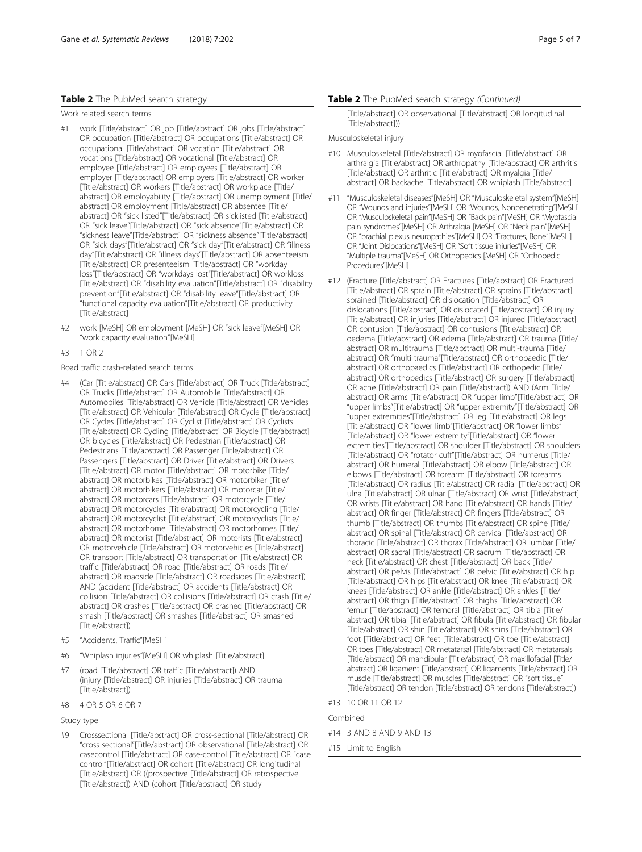# <span id="page-4-0"></span>Table 2 The PubMed search strategy

Work related search terms

- #1 work [Title/abstract] OR job [Title/abstract] OR jobs [Title/abstract] OR occupation [Title/abstract] OR occupations [Title/abstract] OR occupational [Title/abstract] OR vocation [Title/abstract] OR vocations [Title/abstract] OR vocational [Title/abstract] OR employee [Title/abstract] OR employees [Title/abstract] OR employer [Title/abstract] OR employers [Title/abstract] OR worker [Title/abstract] OR workers [Title/abstract] OR workplace [Title/ abstract] OR employability [Title/abstract] OR unemployment [Title/ abstract] OR employment [Title/abstract] OR absentee [Title/ abstract] OR "sick listed"[Title/abstract] OR sicklisted [Title/abstract] OR "sick leave"[Title/abstract] OR "sick absence"[Title/abstract] OR "sickness leave"[Title/abstract] OR "sickness absence"[Title/abstract] OR "sick days"[Title/abstract] OR "sick day"[Title/abstract] OR "illness day"[Title/abstract] OR "illness days"[Title/abstract] OR absenteeism [Title/abstract] OR presenteeism [Title/abstract] OR "workday loss"[Title/abstract] OR "workdays lost"[Title/abstract] OR workloss [Title/abstract] OR "disability evaluation"[Title/abstract] OR "disability prevention"[Title/abstract] OR "disability leave"[Title/abstract] OR "functional capacity evaluation"[Title/abstract] OR productivity [Title/abstract]
- #2 work [MeSH] OR employment [MeSH] OR "sick leave"[MeSH] OR "work capacity evaluation"[MeSH]
- #3 1 OR 2
- Road traffic crash-related search terms
- #4 (Car [Title/abstract] OR Cars [Title/abstract] OR Truck [Title/abstract] OR Trucks [Title/abstract] OR Automobile [Title/abstract] OR Automobiles [Title/abstract] OR Vehicle [Title/abstract] OR Vehicles [Title/abstract] OR Vehicular [Title/abstract] OR Cycle [Title/abstract] OR Cycles [Title/abstract] OR Cyclist [Title/abstract] OR Cyclists [Title/abstract] OR Cycling [Title/abstract] OR Bicycle [Title/abstract] OR bicycles [Title/abstract] OR Pedestrian [Title/abstract] OR Pedestrians [Title/abstract] OR Passenger [Title/abstract] OR Passengers [Title/abstract] OR Driver [Title/abstract] OR Drivers [Title/abstract] OR motor [Title/abstract] OR motorbike [Title/ abstract] OR motorbikes [Title/abstract] OR motorbiker [Title/ abstract] OR motorbikers [Title/abstract] OR motorcar [Title/ abstract] OR motorcars [Title/abstract] OR motorcycle [Title/ abstract] OR motorcycles [Title/abstract] OR motorcycling [Title/ abstract] OR motorcyclist [Title/abstract] OR motorcyclists [Title/ abstract] OR motorhome [Title/abstract] OR motorhomes [Title/ abstract] OR motorist [Title/abstract] OR motorists [Title/abstract] OR motorvehicle [Title/abstract] OR motorvehicles [Title/abstract] OR transport [Title/abstract] OR transportation [Title/abstract] OR traffic [Title/abstract] OR road [Title/abstract] OR roads [Title/ abstract] OR roadside [Title/abstract] OR roadsides [Title/abstract]) AND (accident [Title/abstract] OR accidents [Title/abstract] OR collision [Title/abstract] OR collisions [Title/abstract] OR crash [Title/ abstract] OR crashes [Title/abstract] OR crashed [Title/abstract] OR smash [Title/abstract] OR smashes [Title/abstract] OR smashed [Title/abstract])
- #5 "Accidents, Traffic"[MeSH]
- #6 "Whiplash injuries"[MeSH] OR whiplash [Title/abstract]
- #7 (road [Title/abstract] OR traffic [Title/abstract]) AND (injury [Title/abstract] OR injuries [Title/abstract] OR trauma [Title/abstract])
- #8 4 OR 5 OR 6 OR 7

Study type

Crosssectional [Title/abstract] OR cross-sectional [Title/abstract] OR "cross sectional"[Title/abstract] OR observational [Title/abstract] OR casecontrol [Title/abstract] OR case-control [Title/abstract] OR "case control"[Title/abstract] OR cohort [Title/abstract] OR longitudinal [Title/abstract] OR ((prospective [Title/abstract] OR retrospective [Title/abstract]) AND (cohort [Title/abstract] OR study

## Table 2 The PubMed search strategy (Continued)

[Title/abstract] OR observational [Title/abstract] OR longitudinal [Title/abstract]))

## Musculoskeletal injury

- #10 Musculoskeletal [Title/abstract] OR myofascial [Title/abstract] OR arthralgia [Title/abstract] OR arthropathy [Title/abstract] OR arthritis [Title/abstract] OR arthritic [Title/abstract] OR myalgia [Title/ abstract] OR backache [Title/abstract] OR whiplash [Title/abstract]
- #11 "Musculoskeletal diseases"[MeSH] OR "Musculoskeletal system"[MeSH] OR "Wounds and injuries"[MeSH] OR "Wounds, Nonpenetrating"[MeSH] OR "Musculoskeletal pain"[MeSH] OR "Back pain"[MeSH] OR "Myofascial pain syndromes"[MeSH] OR Arthralgia [MeSH] OR "Neck pain"[MeSH] OR "brachial plexus neuropathies"[MeSH] OR "Fractures, Bone"[MeSH] OR "Joint Dislocations"[MeSH] OR "Soft tissue injuries"[MeSH] OR "Multiple trauma"[MeSH] OR Orthopedics [MeSH] OR "Orthopedic Procedures"[MeSH]
- #12 (Fracture [Title/abstract] OR Fractures [Title/abstract] OR Fractured [Title/abstract] OR sprain [Title/abstract] OR sprains [Title/abstract] sprained [Title/abstract] OR dislocation [Title/abstract] OR dislocations [Title/abstract] OR dislocated [Title/abstract] OR injury [Title/abstract] OR injuries [Title/abstract] OR injured [Title/abstract] OR contusion [Title/abstract] OR contusions [Title/abstract] OR oedema [Title/abstract] OR edema [Title/abstract] OR trauma [Title/ abstract] OR multitrauma [Title/abstract] OR multi-trauma [Title/ abstract] OR "multi trauma"[Title/abstract] OR orthopaedic [Title/ abstract] OR orthopaedics [Title/abstract] OR orthopedic [Title/ abstract] OR orthopedics [Title/abstract] OR surgery [Title/abstract] OR ache [Title/abstract] OR pain [Title/abstract]) AND (Arm [Title/ abstract] OR arms [Title/abstract] OR "upper limb"[Title/abstract] OR "upper limbs"[Title/abstract] OR "upper extremity"[Title/abstract] OR "upper extremities"[Title/abstract] OR leg [Title/abstract] OR legs [Title/abstract] OR "lower limb"[Title/abstract] OR "lower limbs" [Title/abstract] OR "lower extremity"[Title/abstract] OR "lower extremities"[Title/abstract] OR shoulder [Title/abstract] OR shoulders [Title/abstract] OR "rotator cuff"[Title/abstract] OR humerus [Title/ abstract] OR humeral [Title/abstract] OR elbow [Title/abstract] OR elbows [Title/abstract] OR forearm [Title/abstract] OR forearms [Title/abstract] OR radius [Title/abstract] OR radial [Title/abstract] OR ulna [Title/abstract] OR ulnar [Title/abstract] OR wrist [Title/abstract] OR wrists [Title/abstract] OR hand [Title/abstract] OR hands [Title/ abstract] OR finger [Title/abstract] OR fingers [Title/abstract] OR thumb [Title/abstract] OR thumbs [Title/abstract] OR spine [Title/ abstract] OR spinal [Title/abstract] OR cervical [Title/abstract] OR thoracic [Title/abstract] OR thorax [Title/abstract] OR lumbar [Title/ abstract] OR sacral [Title/abstract] OR sacrum [Title/abstract] OR neck [Title/abstract] OR chest [Title/abstract] OR back [Title/ abstract] OR pelvis [Title/abstract] OR pelvic [Title/abstract] OR hip [Title/abstract] OR hips [Title/abstract] OR knee [Title/abstract] OR knees [Title/abstract] OR ankle [Title/abstract] OR ankles [Title/ abstract] OR thigh [Title/abstract] OR thighs [Title/abstract] OR femur [Title/abstract] OR femoral [Title/abstract] OR tibia [Title/ abstract] OR tibial [Title/abstract] OR fibula [Title/abstract] OR fibular [Title/abstract] OR shin [Title/abstract] OR shins [Title/abstract] OR foot [Title/abstract] OR feet [Title/abstract] OR toe [Title/abstract] OR toes [Title/abstract] OR metatarsal [Title/abstract] OR metatarsals [Title/abstract] OR mandibular [Title/abstract] OR maxillofacial [Title/ abstract] OR ligament [Title/abstract] OR ligaments [Title/abstract] OR muscle [Title/abstract] OR muscles [Title/abstract] OR "soft tissue" [Title/abstract] OR tendon [Title/abstract] OR tendons [Title/abstract])
- #13 10 OR 11 OR 12

Combined

- #14 3 AND 8 AND 9 AND 13
- #15 Limit to English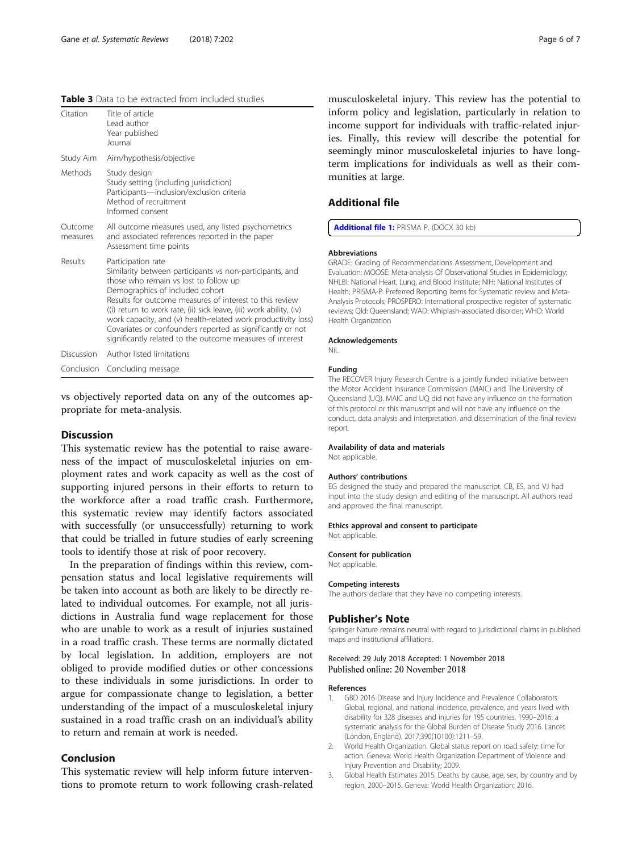<span id="page-5-0"></span>

| <b>Table 3</b> Data to be extracted from included studies |
|-----------------------------------------------------------|
|-----------------------------------------------------------|

| Citation            | Title of article<br>Lead author<br>Year published<br>Journal                                                                                                                                                                                                                                                                                                                                                                                                                             |
|---------------------|------------------------------------------------------------------------------------------------------------------------------------------------------------------------------------------------------------------------------------------------------------------------------------------------------------------------------------------------------------------------------------------------------------------------------------------------------------------------------------------|
| Study Aim           | Aim/hypothesis/objective                                                                                                                                                                                                                                                                                                                                                                                                                                                                 |
| Methods             | Study design<br>Study setting (including jurisdiction)<br>Participants-inclusion/exclusion criteria<br>Method of recruitment<br>Informed consent                                                                                                                                                                                                                                                                                                                                         |
| Outcome<br>measures | All outcome measures used, any listed psychometrics<br>and associated references reported in the paper<br>Assessment time points                                                                                                                                                                                                                                                                                                                                                         |
| Results             | Participation rate<br>Similarity between participants vs non-participants, and<br>those who remain vs lost to follow up<br>Demographics of included cohort<br>Results for outcome measures of interest to this review<br>((i) return to work rate, (ii) sick leave, (iii) work ability, (iv)<br>work capacity, and (v) health-related work productivity loss)<br>Covariates or confounders reported as significantly or not<br>significantly related to the outcome measures of interest |
| Discussion          | Author listed limitations                                                                                                                                                                                                                                                                                                                                                                                                                                                                |
|                     | Conclusion Concluding message                                                                                                                                                                                                                                                                                                                                                                                                                                                            |

vs objectively reported data on any of the outcomes appropriate for meta-analysis.

# **Discussion**

This systematic review has the potential to raise awareness of the impact of musculoskeletal injuries on employment rates and work capacity as well as the cost of supporting injured persons in their efforts to return to the workforce after a road traffic crash. Furthermore, this systematic review may identify factors associated with successfully (or unsuccessfully) returning to work that could be trialled in future studies of early screening tools to identify those at risk of poor recovery.

In the preparation of findings within this review, compensation status and local legislative requirements will be taken into account as both are likely to be directly related to individual outcomes. For example, not all jurisdictions in Australia fund wage replacement for those who are unable to work as a result of injuries sustained in a road traffic crash. These terms are normally dictated by local legislation. In addition, employers are not obliged to provide modified duties or other concessions to these individuals in some jurisdictions. In order to argue for compassionate change to legislation, a better understanding of the impact of a musculoskeletal injury sustained in a road traffic crash on an individual's ability to return and remain at work is needed.

# Conclusion

This systematic review will help inform future interventions to promote return to work following crash-related musculoskeletal injury. This review has the potential to inform policy and legislation, particularly in relation to income support for individuals with traffic-related injuries. Finally, this review will describe the potential for seemingly minor musculoskeletal injuries to have longterm implications for individuals as well as their communities at large.

# Additional file

[Additional file 1:](https://doi.org/10.1186/s13643-018-0869-4) PRISMA P. (DOCX 30 kb)

## Abbreviations

GRADE: Grading of Recommendations Assessment, Development and Evaluation; MOOSE: Meta-analysis Of Observational Studies in Epidemiology; NHLBI: National Heart, Lung, and Blood Institute; NIH: National Institutes of Health; PRISMA-P: Preferred Reporting Items for Systematic review and Meta-Analysis Protocols; PROSPERO: International prospective register of systematic reviews; Qld: Queensland; WAD: Whiplash-associated disorder; WHO: World Health Organization

## Acknowledgements

#### Nil.

## Funding

The RECOVER Injury Research Centre is a jointly funded initiative between the Motor Accident Insurance Commission (MAIC) and The University of Queensland (UQ). MAIC and UQ did not have any influence on the formation of this protocol or this manuscript and will not have any influence on the conduct, data analysis and interpretation, and dissemination of the final review report.

## Availability of data and materials

Not applicable.

## Authors' contributions

EG designed the study and prepared the manuscript. CB, ES, and VJ had input into the study design and editing of the manuscript. All authors read and approved the final manuscript.

### Ethics approval and consent to participate

Not applicable.

## Consent for publication

Not applicable.

## Competing interests

The authors declare that they have no competing interests.

## Publisher's Note

Springer Nature remains neutral with regard to jurisdictional claims in published maps and institutional affiliations.

# Received: 29 July 2018 Accepted: 1 November 2018 Published online: 20 November 2018

## References

- GBD 2016 Disease and Injury Incidence and Prevalence Collaborators Global, regional, and national incidence, prevalence, and years lived with disability for 328 diseases and injuries for 195 countries, 1990–2016: a systematic analysis for the Global Burden of Disease Study 2016. Lancet (London, England). 2017;390(10100):1211–59.
- 2. World Health Organization. Global status report on road safety: time for action. Geneva: World Health Organization Department of Violence and Injury Prevention and Disability; 2009.
- 3. Global Health Estimates 2015. Deaths by cause, age, sex, by country and by region, 2000–2015. Geneva: World Health Organization; 2016.